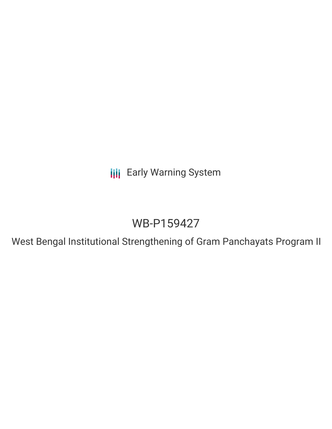**III** Early Warning System

# WB-P159427

West Bengal Institutional Strengthening of Gram Panchayats Program II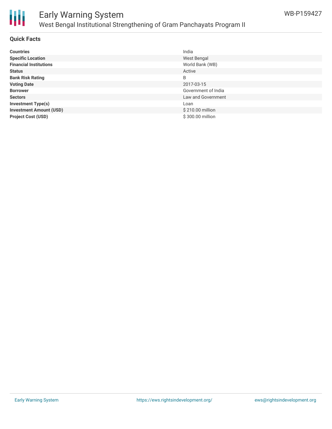

### Early Warning System West Bengal Institutional Strengthening of Gram Panchayats Program II

#### **Quick Facts**

| <b>Countries</b>               | India               |
|--------------------------------|---------------------|
| <b>Specific Location</b>       | West Bengal         |
| <b>Financial Institutions</b>  | World Bank (WB)     |
| <b>Status</b>                  | Active              |
| <b>Bank Risk Rating</b>        | B                   |
| <b>Voting Date</b>             | 2017-03-15          |
| <b>Borrower</b>                | Government of India |
| <b>Sectors</b>                 | Law and Government  |
| <b>Investment Type(s)</b>      | Loan                |
| <b>Investment Amount (USD)</b> | \$210.00 million    |
| <b>Project Cost (USD)</b>      | \$300.00 million    |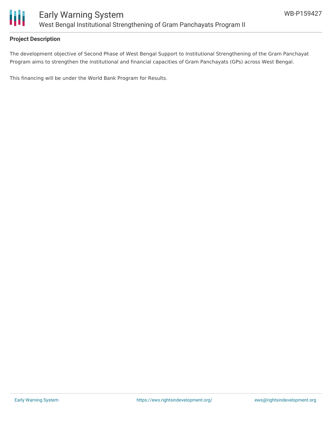

#### **Project Description**

The development objective of Second Phase of West Bengal Support to Institutional Strengthening of the Gram Panchayat Program aims to strengthen the institutional and financial capacities of Gram Panchayats (GPs) across West Bengal.

This financing will be under the World Bank Program for Results.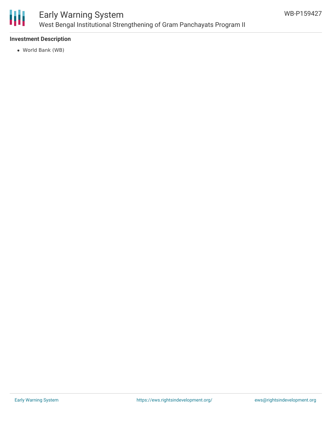

### Early Warning System West Bengal Institutional Strengthening of Gram Panchayats Program II

#### **Investment Description**

World Bank (WB)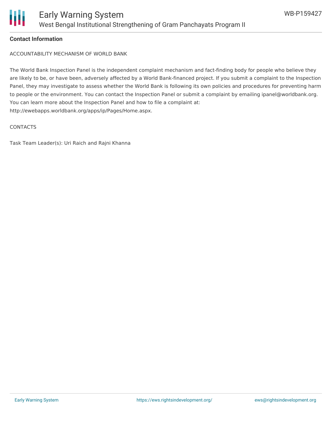

#### **Contact Information**

ACCOUNTABILITY MECHANISM OF WORLD BANK

The World Bank Inspection Panel is the independent complaint mechanism and fact-finding body for people who believe they are likely to be, or have been, adversely affected by a World Bank-financed project. If you submit a complaint to the Inspection Panel, they may investigate to assess whether the World Bank is following its own policies and procedures for preventing harm to people or the environment. You can contact the Inspection Panel or submit a complaint by emailing ipanel@worldbank.org. You can learn more about the Inspection Panel and how to file a complaint at: http://ewebapps.worldbank.org/apps/ip/Pages/Home.aspx.

#### **CONTACTS**

Task Team Leader(s): Uri Raich and Rajni Khanna